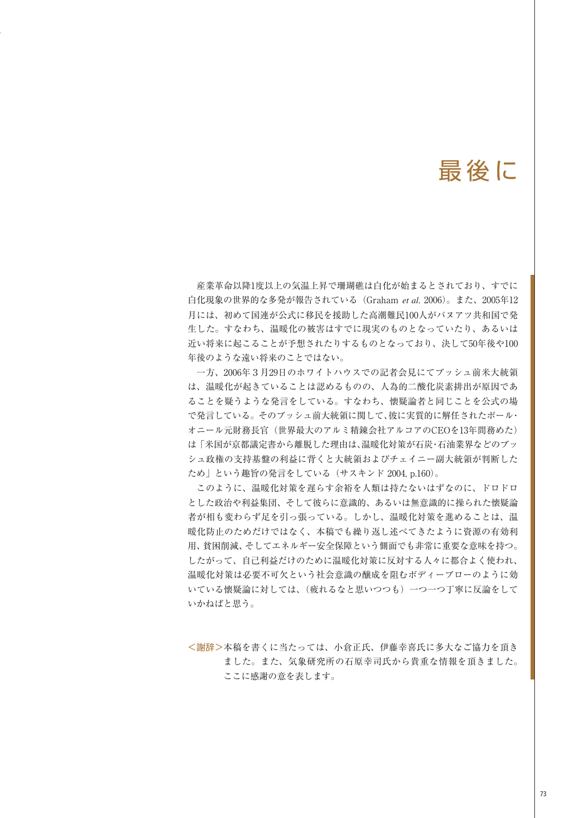#### 最後に

産業革命以降1度以上の気温上昇で珊瑚礁は白化が始まるとされており、すでに 白化現象の世界的な多発が報告されている(Graham *et al*. 2006)。また、2005年12 月には、初めて国連が公式に移民を援助した高潮難民100人がバヌアツ共和国で発 生した。すなわち、温暖化の被害はすでに現実のものとなっていたり、あるいは 近い将来に起こることが予想されたりするものとなっており、決して50年後や100 年後のような遠い将来のことではない。

一方、2006年3月29日のホワイトハウスでの記者会見にてブッシュ前米大統領 は、温暖化が起きていることは認めるものの、人為的二酸化炭素排出が原因であ ることを疑うような発言をしている。すなわち、懐疑論者と同じことを公式の場 で発言している。そのブッシュ前大統領に関して、彼に実質的に解任されたポール・ オニール元財務長官(世界最大のアルミ精錬会社アルコアのCEOを13年間務めた) は「米国が京都議定書から離脱した理由は、温暖化対策が石炭・石油業界などのブッ シュ政権の支持基盤の利益に背くと大統領およびチェイニー副大統領が判断した ため」という趣旨の発言をしている(サスキンド 2004, p.160)。

このように、温暖化対策を遅らす余裕を人類は持たないはずなのに、ドロドロ とした政治や利益集団、そして彼らに意識的、あるいは無意識的に操られた懐疑論 者が相も変わらず足を引っ張っている。しかし、温暖化対策を進めることは、温 暖化防止のためだけではなく、本稿でも繰り返し述べてきたように資源の有効利 用、貧困削減、そしてエネルギー安全保障という側面でも非常に重要な意味を持つ。 したがって、自己利益だけのために温暖化対策に反対する人々に都合よく使われ、 温暖化対策は必要不可欠という社会意識の醸成を阻むボディーブローのように効 いている懐疑論に対しては、(疲れるなと思いつつも)一つ一つ丁寧に反論をして いかねばと思う。

<謝辞>本稿を書くに当たっては、小倉正氏、伊藤幸喜氏に多大なご協力を頂き ました。また、気象研究所の石原幸司氏から貴重な情報を頂きました。 ここに感謝の意を表します。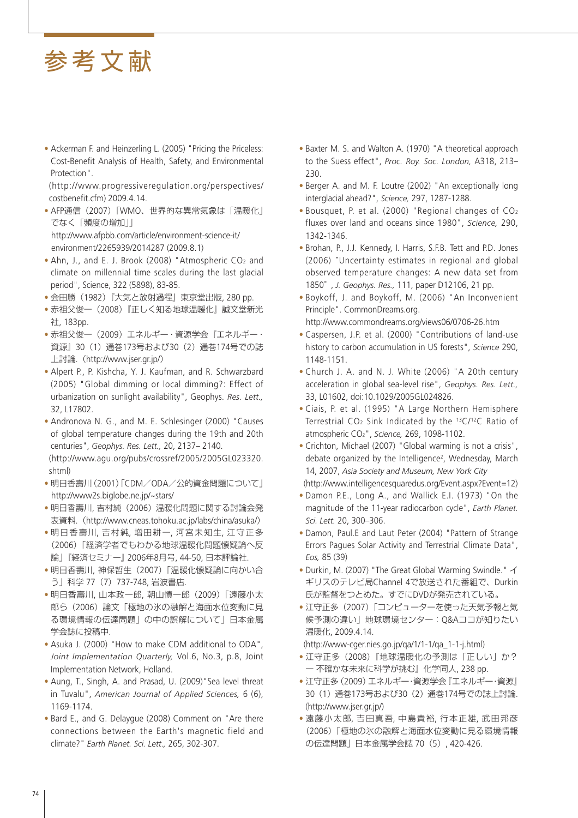• Ackerman F. and Heinzerling L. (2005) "Pricing the Priceless: Cost-Benefit Analysis of Health, Safety, and Environmental Protection".

 (http://www.progressiveregulation.org/perspectives/ costbenefit.cfm) 2009.4.14.

- AFP通信(2007)「WMO、世界的な異常気象は「温暖化」 でなく「頻度の増加」」 http://www.afpbb.com/article/environment-science-it/
- environment/2265939/2014287 (2009.8.1) • Ahn, J., and E. J. Brook (2008) "Atmospheric CO2 and climate on millennial time scales during the last glacial period", Science, 322 (5898), 83-85.
- 会田勝(1982)『大気と放射過程』東京堂出版, 280 pp.
- 赤祖父俊一(2008)『正しく知る地球温暖化』誠文堂新光 社, 183pp.
- 赤祖父俊一(2009)エネルギー・資源学会『エネルギー・ 資源』30(1)通巻173号および30(2)通巻174号での誌 上討論.(http://www.jser.gr.jp/)
- Alpert P., P. Kishcha, Y. J. Kaufman, and R. Schwarzbard (2005) "Global dimming or local dimming?: Effect of urbanization on sunlight availability", Geophys. *Res. Lett.,*  32, L17802.
- Andronova N. G., and M. E. Schlesinger (2000) "Causes of global temperature changes during the 19th and 20th centuries", *Geophys. Res. Lett.,* 20, 2137– 2140.

 (http://www.agu.org/pubs/crossref/2005/2005GL023320. shtml)

- 明日香壽川(2001)「CDM/ODA/公的資金問題について」 http://www2s.biglobe.ne.jp/~stars/
- 明日香壽川, 吉村純(2006)温暖化問題に関する討論会発 表資料. (http://www.cneas.tohoku.ac.jp/labs/china/asuka/)
- 明日香壽川, 吉村純, 増田耕一, 河宮未知生, 江守正多 (2006)「経済学者でもわかる地球温暖化問題懐疑論へ反 論」『経済セミナー』 2006年8月号, 44-50, 日本評論社.
- 明日香壽川, 神保哲生(2007)「温暖化懐疑論に向かい合 う」科学 77(7)737-748, 岩波書店.
- 明日香壽川, 山本政一郎, 朝山慎一郎(2009)「遠藤小太 郎ら(2006)論文「極地の氷の融解と海面水位変動に見 る環境情報の伝達問題」の中の誤解について」日本金属 学会誌に投稿中.
- Asuka J. (2000) "How to make CDM additional to ODA", *Joint Implementation Quarterly,* Vol.6, No.3, p.8, Joint Implementation Network, Holland.
- Aung, T., Singh, A. and Prasad, U. (2009)"Sea level threat in Tuvalu", *American Journal of Applied Sciences,* 6 (6), 1169-1174.
- Bard E., and G. Delaygue (2008) Comment on "Are there connections between the Earth's magnetic field and climate?" *Earth Planet. Sci. Lett.,* 265, 302-307.
- Baxter M. S. and Walton A. (1970) "A theoretical approach to the Suess effect", *Proc. Roy. Soc. London,* A318, 213– 230.
- Berger A. and M. F. Loutre (2002) "An exceptionally long interglacial ahead?", *Science,* 297, 1287-1288.
- Bousquet, P. et al. (2000) "Regional changes of CO2 fluxes over land and oceans since 1980", *Science,* 290, 1342-1346.
- Brohan, P., J.J. Kennedy, I. Harris, S.F.B. Tett and P.D. Jones (2006) "Uncertainty estimates in regional and global observed temperature changes: A new data set from 1850" , *J. Geophys. Res.,* 111, paper D12106, 21 pp.
- Boykoff, J. and Boykoff, M. (2006) "An Inconvenient Principle". CommonDreams.org.
- http://www.commondreams.org/views06/0706-26.htm
- Caspersen, J.P. et al. (2000) "Contributions of land-use history to carbon accumulation in US forests", *Science* 290, 1148-1151.
- Church J. A. and N. J. White (2006) "A 20th century acceleration in global sea-level rise", *Geophys. Res. Lett.,* 33, L01602, doi:10.1029/2005GL024826.
- Ciais, P. et al. (1995) "A Large Northern Hemisphere Terrestrial  $CO<sub>2</sub>$  Sink Indicated by the  $^{13}C/^{12}C$  Ratio of atmospheric CO2", *Science,* 269, 1098-1102.
- Crichton, Michael (2007) "Global warming is not a crisis", debate organized by the Intelligence<sup>2</sup>, Wednesday, March 14, 2007, *Asia Society and Museum, New York City*  (http://www.intelligencesquaredus.org/Event.aspx?Event=12)
- Damon P.E., Long A., and Wallick E.I. (1973) "On the
- magnitude of the 11-year radiocarbon cycle", *Earth Planet. Sci. Lett.* 20, 300–306.
- Damon, Paul.E and Laut Peter (2004) "Pattern of Strange Errors Pagues Solar Activity and Terrestrial Climate Data", *Eos,* 85 (39)
- Durkin, M. (2007) "The Great Global Warming Swindle." イ ギリスのテレビ局Channel 4で放送された番組で、Durkin 氏が監督をつとめた。すでにDVDが発売されている。
- 江守正多(2007)「コンピューターを使った天気予報と気 候予測の違い」地球環境センター:Q&Aココが知りたい 温暖化, 2009.4.14.

(http://www-cger.nies.go.jp/qa/1/1-1/qa\_1-1-j.html)

- 江守正多(2008)『地球温暖化の予測は「正しい」か? ー 不確かな未来に科学が挑む』化学同人, 238 pp.
- 江守正多(2009)エネルギー・資源学会『エネルギー・資源』 30(1)通巻173号および30(2)通巻174号での誌上討論. (http://www.jser.gr.jp/)
- 遠藤小太郎, 吉田真吾, 中島貴裕, 行本正雄, 武田邦彦 (2006)「極地の氷の融解と海面水位変動に見る環境情報 の伝達問題」日本金属学会誌 70(5), 420-426.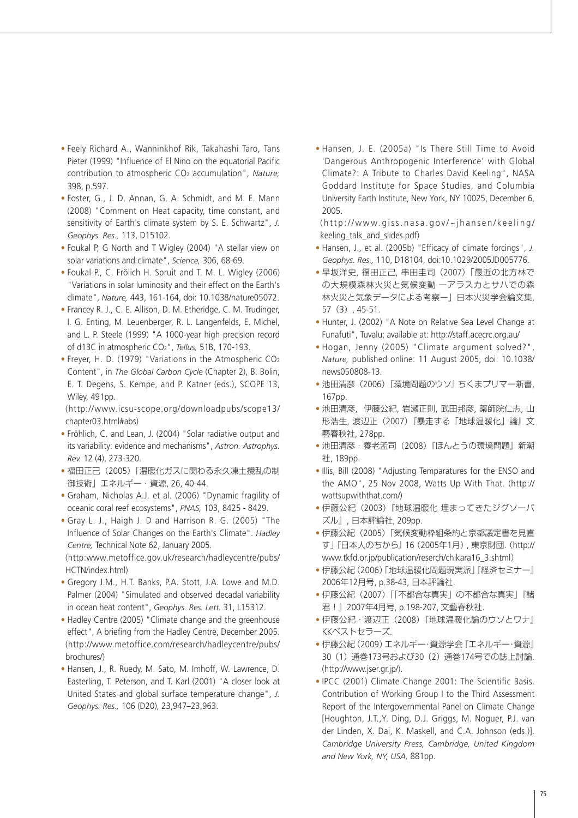- Feely Richard A., Wanninkhof Rik, Takahashi Taro, Tans Pieter (1999) "Influence of El Nino on the equatorial Pacific contribution to atmospheric CO2 accumulation", *Nature,* 398, p.597.
- Foster, G., J. D. Annan, G. A. Schmidt, and M. E. Mann (2008) "Comment on Heat capacity, time constant, and sensitivity of Earth's climate system by S. E. Schwartz", *J. Geophys. Res.,* 113, D15102.
- Foukal P, G North and T Wigley (2004) "A stellar view on solar variations and climate", *Science,* 306, 68-69.
- Foukal P., C. Frölich H. Spruit and T. M. L. Wigley (2006) "Variations in solar luminosity and their effect on the Earth's climate", *Nature,* 443, 161-164, doi: 10.1038/nature05072.
- Francey R. J., C. E. Allison, D. M. Etheridge, C. M. Trudinger, I. G. Enting, M. Leuenberger, R. L. Langenfelds, E. Michel, and L. P. Steele (1999) "A 1000-year high precision record of d13C in atmospheric CO2", *Tellus,* 51B, 170-193.
- Freyer, H. D. (1979) "Variations in the Atmospheric CO2 Content", in *The Global Carbon Cycle* (Chapter 2), B. Bolin, E. T. Degens, S. Kempe, and P. Katner (eds.), SCOPE 13, Wiley, 491pp.

 (http://www.icsu-scope.org/downloadpubs/scope13/ chapter03.html#abs)

- Fröhlich, C. and Lean, J. (2004) "Solar radiative output and its variability: evidence and mechanisms", *Astron. Astrophys. Rev.* 12 (4), 273-320.
- 福田正己(2005)「温暖化ガスに関わる永久凍土攪乱の制 御技術」エネルギー・資源, 26, 40-44.
- Graham, Nicholas A.J. et al. (2006) "Dynamic fragility of oceanic coral reef ecosystems", *PNAS,* 103, 8425 - 8429.
- Gray L. J., Haigh J. D and Harrison R. G. (2005) "The Influence of Solar Changes on the Earth's Climate". *Hadley Centre,* Technical Note 62, January 2005. (http:www.metoffice.gov.uk/research/hadleycentre/pubs/

HCTN/index.html)

- Gregory J.M., H.T. Banks, P.A. Stott, J.A. Lowe and M.D. Palmer (2004) "Simulated and observed decadal variability in ocean heat content", *Geophys. Res. Lett.* 31, L15312.
- Hadley Centre (2005) "Climate change and the greenhouse effect", A briefing from the Hadley Centre, December 2005. (http://www.metoffice.com/research/hadleycentre/pubs/ brochures/)
- Hansen, J., R. Ruedy, M. Sato, M. Imhoff, W. Lawrence, D. Easterling, T. Peterson, and T. Karl (2001) "A closer look at United States and global surface temperature change", *J. Geophys. Res.,* 106 (D20), 23,947–23,963.

• Hansen, J. E. (2005a) "Is There Still Time to Avoid 'Dangerous Anthropogenic Interference' with Global Climate?: A Tribute to Charles David Keeling", NASA Goddard Institute for Space Studies, and Columbia University Earth Institute, New York, NY 10025, December 6, 2005.

 (http://www.giss.nasa.gov/~jhansen/keeling/ keeling\_talk\_and\_slides.pdf)

- Hansen, J., et al. (2005b) "Efficacy of climate forcings", J. *Geophys. Res.,* 110, D18104, doi:10.1029/2005JD005776.
- 早坂洋史, 福田正己, 串田圭司(2007)「最近の北方林で の大規模森林火災と気候変動 ーアラスカとサハでの森 林火災と気象データによる考察ー」日本火災学会論文集, 57(3), 45-51.
- Hunter, J. (2002) "A Note on Relative Sea Level Change at Funafuti", Tuvalu; available at: http://staff.acecrc.org.au/
- Hogan, Jenny (2005) "Climate argument solved?", *Nature,* published online: 11 August 2005, doi: 10.1038/ news050808-13.
- 池田清彦(2006)『環境問題のウソ』ちくまプリマー新書, 167pp.
- 池田清彦, 伊藤公紀, 岩瀬正則, 武田邦彦, 薬師院仁志, 山 形浩生, 渡辺正(2007)『暴走する「地球温暖化」論』文 藝春秋社, 278pp.
- 池田清彦・養老孟司(2008)『ほんとうの環境問題』新潮 社, 189pp.
- Illis, Bill (2008) "Adjusting Temparatures for the ENSO and the AMO", 25 Nov 2008, Watts Up With That. (http:// wattsupwiththat.com/)
- 伊藤公紀(2003)『地球温暖化 埋まってきたジグソーパ ズル』, 日本評論社, 209pp.
- 伊藤公紀(2005)「気候変動枠組条約と京都議定書を見直 す」『日本人のちから』16(2005年1月), 東京財団.(http:// www.tkfd.or.jp/publication/reserch/chikara16\_3.shtml)
- 伊藤公紀(2006)「地球温暖化問題現実派」『経済セミナー』 2006年12月号, p.38-43, 日本評論社.
- 伊藤公紀(2007)「「不都合な真実」の不都合な真実」『諸 君!』2007年4月号, p.198-207, 文藝春秋社.
- 伊藤公紀・渡辺正(2008)『地球温暖化論のウソとワナ』 KKベストセラーズ.
- 伊藤公紀(2009)エネルギー・資源学会『エネルギー・資源』 30(1)通巻173号および30(2)通巻174号での誌上討論. (http://www.jser.gr.jp/).
- IPCC (2001) Climate Change 2001: The Scientific Basis. Contribution of Working Group I to the Third Assessment Report of the Intergovernmental Panel on Climate Change [Houghton, J.T.,Y. Ding, D.J. Griggs, M. Noguer, P.J. van der Linden, X. Dai, K. Maskell, and C.A. Johnson (eds.)]. *Cambridge University Press, Cambridge, United Kingdom and New York, NY, USA,* 881pp.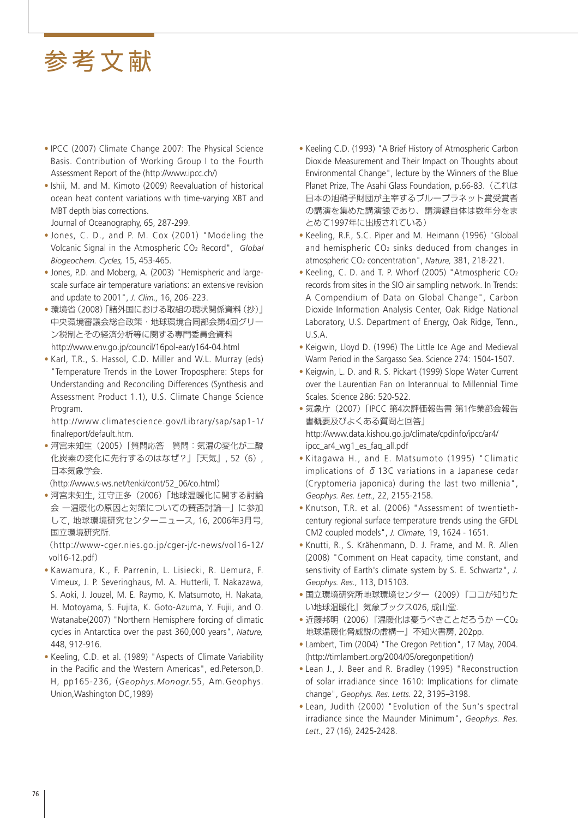- IPCC (2007) Climate Change 2007: The Physical Science Basis. Contribution of Working Group I to the Fourth Assessment Report of the (http://www.ipcc.ch/)
- Ishii, M. and M. Kimoto (2009) Reevaluation of historical ocean heat content variations with time-varying XBT and MBT depth bias corrections.

Journal of Oceanography, 65, 287-299.

- Jones, C. D., and P. M. Cox (2001) "Modeling the Volcanic Signal in the Atmospheric CO2 Record", *Global Biogeochem. Cycles,* 15, 453-465.
- Jones, P.D. and Moberg, A. (2003) "Hemispheric and largescale surface air temperature variations: an extensive revision and update to 2001", *J. Clim.,* 16, 206–223.
- 環境省(2008)「諸外国における取組の現状関係資料(抄)」 中央環境審議会総合政策・地球環境合同部会第4回グリー ン税制とその経済分析等に関する専門委員会資料 http://www.env.go.jp/council/16pol-ear/y164-04.html
- Karl, T.R., S. Hassol, C.D. Miller and W.L. Murray (eds) "Temperature Trends in the Lower Troposphere: Steps for Understanding and Reconciling Differences (Synthesis and Assessment Product 1.1), U.S. Climate Change Science Program.

 http://www.climatescience.gov/Library/sap/sap1-1/ finalreport/default.htm.

• 河宮未知生(2005)「質問応答 質問:気温の変化が二酸 化炭素の変化に先行するのはなぜ?」『天気』, 52(6), 日本気象学会.

(http://www.s-ws.net/tenki/cont/52\_06/co.html)

• 河宮未知生, 江守正多(2006)「地球温暖化に関する討論 会 ー温暖化の原因と対策についての賛否討論―」に参加 して, 地球環境研究センターニュース, 16, 2006年3月号, 国立環境研究所.

 (http://www-cger.nies.go.jp/cger-j/c-news/vol16-12/ vol16-12.pdf)

- Kawamura, K., F. Parrenin, L. Lisiecki, R. Uemura, F. Vimeux, J. P. Severinghaus, M. A. Hutterli, T. Nakazawa, S. Aoki, J. Jouzel, M. E. Raymo, K. Matsumoto, H. Nakata, H. Motoyama, S. Fujita, K. Goto-Azuma, Y. Fujii, and O. Watanabe(2007) "Northern Hemisphere forcing of climatic cycles in Antarctica over the past 360,000 years", *Nature,*  448, 912-916.
- Keeling, C.D. et al. (1989) "Aspects of Climate Variability in the Pacific and the Western Americas", ed.Peterson,D. H, pp165-236, (*Geophys.Monogr.*55, Am.Geophys. Union,Washington DC,1989)
- Keeling C.D. (1993) "A Brief History of Atmospheric Carbon Dioxide Measurement and Their Impact on Thoughts about Environmental Change", lecture by the Winners of the Blue Planet Prize, The Asahi Glass Foundation, p.66-83.(これは 日本の旭硝子財団が主宰するブループラネット賞受賞者 の講演を集めた講演録であり、講演録自体は数年分をま とめて1997年に出版されている)
- Keeling, R.F., S.C. Piper and M. Heimann (1996) "Global and hemispheric CO<sub>2</sub> sinks deduced from changes in atmospheric CO2 concentration", *Nature,* 381, 218-221.
- Keeling, C. D. and T. P. Whorf (2005) "Atmospheric CO2 records from sites in the SIO air sampling network. In Trends: A Compendium of Data on Global Change", Carbon Dioxide Information Analysis Center, Oak Ridge National Laboratory, U.S. Department of Energy, Oak Ridge, Tenn., U.S.A.
- Keigwin, Lloyd D. (1996) The Little Ice Age and Medieval Warm Period in the Sargasso Sea. Science 274: 1504-1507.
- Keigwin, L. D. and R. S. Pickart (1999) Slope Water Current over the Laurentian Fan on Interannual to Millennial Time Scales. Science 286: 520-522.
- 気象庁(2007)「IPCC 第4次評価報告書 第1作業部会報告 書概要及びよくある質問と回答」 http://www.data.kishou.go.jp/climate/cpdinfo/ipcc/ar4/ ipcc\_ar4\_wg1\_es\_faq\_all.pdf
- Kitagawa H., and E. Matsumoto (1995) "Climatic implications of  $\delta$  13C variations in a Japanese cedar (Cryptomeria japonica) during the last two millenia", *Geophys. Res. Lett.,* 22, 2155-2158.
- Knutson, T.R. et al. (2006) "Assessment of twentiethcentury regional surface temperature trends using the GFDL CM2 coupled models", *J. Climate,* 19, 1624 - 1651.
- Knutti, R., S. Krähenmann, D. J. Frame, and M. R. Allen (2008) "Comment on Heat capacity, time constant, and sensitivity of Earth's climate system by S. E. Schwartz", *J. Geophys. Res.,* 113, D15103.
- 国立環境研究所地球環境センター(2009)『ココが知りた い地球温暖化』気象ブックス026, 成山堂.
- 近藤邦明(2006)『温暖化は憂うべきことだろうか ーCO2 地球温暖化脅威説の虚構ー』不知火書房, 202pp.
- Lambert, Tim (2004) "The Oregon Petition", 17 May, 2004. (http://timlambert.org/2004/05/oregonpetition/)
- Lean J., J. Beer and R. Bradley (1995) "Reconstruction of solar irradiance since 1610: Implications for climate change", *Geophys. Res. Letts.* 22, 3195–3198.
- Lean, Judith (2000) "Evolution of the Sun's spectral irradiance since the Maunder Minimum", *Geophys. Res. Lett.,* 27 (16), 2425-2428.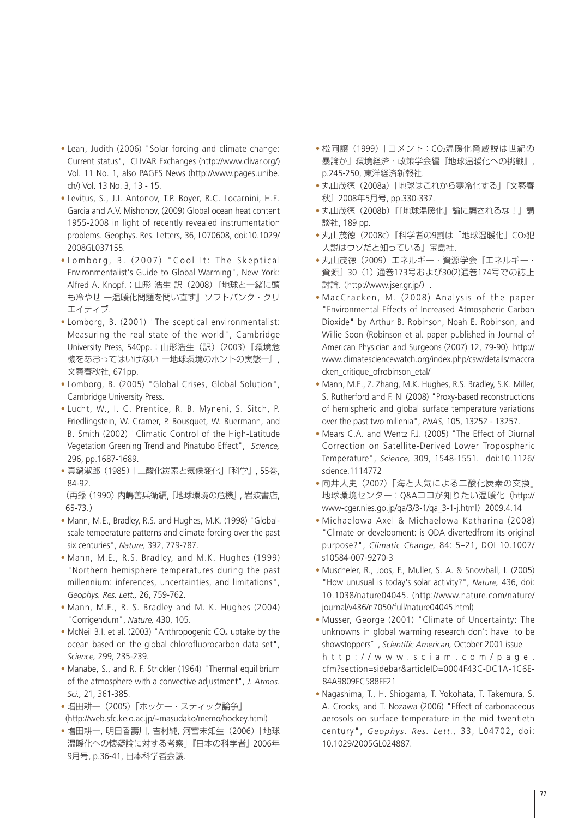- Lean, Judith (2006) "Solar forcing and climate change: Current status", CLIVAR Exchanges (http://www.clivar.org/) Vol. 11 No. 1, also PAGES News (http://www.pages.unibe. ch/) Vol. 13 No. 3, 13 - 15.
- Levitus, S., J.I. Antonov, T.P. Boyer, R.C. Locarnini, H.E. Garcia and A.V. Mishonov, (2009) Global ocean heat content 1955-2008 in light of recently revealed instrumentation problems. Geophys. Res. Letters, 36, L070608, doi:10.1029/ 2008GL037155.
- Lomborg, B. (2007) "Cool It: The Skeptical Environmentalist's Guide to Global Warming", New York: Alfred A. Knopf.;山形 浩生訳 (2008)『地球と一緒に頭 も冷やせ ー温暖化問題を問い直す』ソフトバンク・クリ エイティブ.
- Lomborg, B. (2001) "The sceptical environmentalist: Measuring the real state of the world", Cambridge University Press, 540pp.; 山形浩生(訳) (2003)『環境危 機をあおってはいけない ー地球環境のホントの実態ー』, 文藝春秋社, 671pp.
- Lomborg, B. (2005) "Global Crises, Global Solution", Cambridge University Press.
- Lucht, W., I. C. Prentice, R. B. Myneni, S. Sitch, P. Friedlingstein, W. Cramer, P. Bousquet, W. Buermann, and B. Smith (2002) "Climatic Control of the High-Latitude Vegetation Greening Trend and Pinatubo Effect", *Science,* 296, pp.1687-1689.
- 真鍋淑郎(1985)「二酸化炭素と気候変化」『科学』, 55巻, 84-92.

(再録(1990)内嶋善兵衛編, 『地球環境の危機』, 岩波書店, 65-73.)

- Mann, M.E., Bradley, R.S. and Hughes, M.K. (1998) "Globalscale temperature patterns and climate forcing over the past six centuries", *Nature,* 392, 779-787.
- Mann, M.E., R.S. Bradley, and M.K. Hughes (1999) "Northern hemisphere temperatures during the past millennium: inferences, uncertainties, and limitations", *Geophys. Res. Lett.,* 26, 759-762.
- Mann, M.E., R. S. Bradley and M. K. Hughes (2004) "Corrigendum", *Nature,* 430, 105.
- McNeil B.I. et al. (2003) "Anthropogenic CO<sub>2</sub> uptake by the ocean based on the global chlorofluorocarbon data set", *Science,* 299, 235-239.
- Manabe, S., and R. F. Strickler (1964) "Thermal equilibrium of the atmosphere with a convective adjustment", *J. Atmos. Sci.,* 21, 361-385.
- 増田耕一(2005)「ホッケー・スティック論争」 (http://web.sfc.keio.ac.jp/~masudako/memo/hockey.html)
- 増田耕一, 明日香壽川, 吉村純, 河宮未知生(2006)「地球 温暖化への懐疑論に対する考察」『日本の科学者』 2006年 9月号, p.36-41, 日本科学者会議.
- 松岡譲(1999)「コメント:CO2温暖化脅威説は世紀の 暴論か」環境経済・政策学会編『地球温暖化への挑戦』, p.245-250, 東洋経済新報社.
- 丸山茂徳(2008a)「地球はこれから寒冷化する」『文藝春 秋』2008年5月号, pp.330-337.
- 丸山茂徳(2008b)『『地球温暖化』論に騙されるな!』講 談社, 189 pp.
- ●丸山茂徳(2008c)『科学者の9割は「地球温暖化」CO2犯 人説はウソだと知っている』宝島社.
- 丸山茂徳(2009)エネルギー・資源学会『エネルギー・ 資源』30(1)通巻173号および30(2)通巻174号での誌上 討論. (http://www.jser.gr.jp/).
- MacCracken, M. (2008) Analysis of the paper "Environmental Effects of Increased Atmospheric Carbon Dioxide" by Arthur B. Robinson, Noah E. Robinson, and Willie Soon (Robinson et al. paper published in Journal of American Physician and Surgeons (2007) 12, 79-90). http:// www.climatesciencewatch.org/index.php/csw/details/maccra cken\_critique\_ofrobinson\_etal/
- Mann, M.E., Z. Zhang, M.K. Hughes, R.S. Bradley, S.K. Miller, S. Rutherford and F. Ni (2008) "Proxy-based reconstructions of hemispheric and global surface temperature variations over the past two millenia", *PNAS,* 105, 13252 - 13257.
- Mears C.A. and Wentz F.J. (2005) "The Effect of Diurnal Correction on Satellite-Derived Lower Tropospheric Temperature", *Science,* 309, 1548-1551. doi:10.1126/ science.1114772
- 向井人史(2007)「海と大気による二酸化炭素の交換」 地球環境センター:Q&Aココが知りたい温暖化(http:// www-cger.nies.go.jp/qa/3/3-1/qa\_3-1-j.html)2009.4.14
- Michaelowa Axel & Michaelowa Katharina (2008) "Climate or development: is ODA divertedfrom its original purpose?", *Climatic Change,* 84: 5–21, DOI 10.1007/ s10584-007-9270-3
- Muscheler, R., Joos, F., Muller, S. A. & Snowball, I. (2005) "How unusual is today's solar activity?", *Nature,* 436, doi: 10.1038/nature04045. (http://www.nature.com/nature/ journal/v436/n7050/full/nature04045.html)
- Musser, George (2001) "Climate of Uncertainty: The unknowns in global warming research don't have to be showstoppers", Scientific American, October 2001 issue http://www.sciam.com/page. cfm?section=sidebar&articleID=0004F43C-DC1A-1C6E-84A9809EC588EF21
- Nagashima, T., H. Shiogama, T. Yokohata, T. Takemura, S. A. Crooks, and T. Nozawa (2006) "Effect of carbonaceous aerosols on surface temperature in the mid twentieth century", *Geophys. Res. Lett.,* 33, L04702, doi: 10.1029/2005GL024887.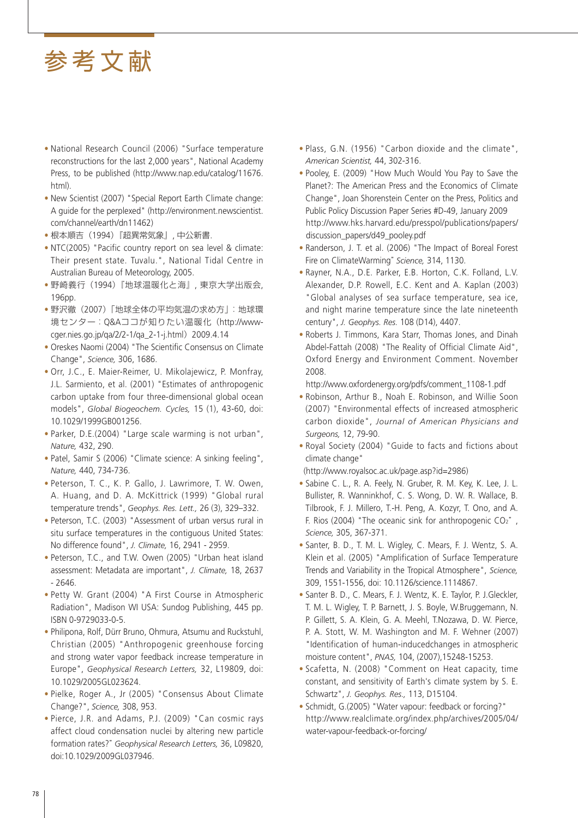- National Research Council (2006) "Surface temperature reconstructions for the last 2,000 years", National Academy Press, to be published (http://www.nap.edu/catalog/11676. html).
- New Scientist (2007) "Special Report Earth Climate change: A guide for the perplexed" (http://environment.newscientist. com/channel/earth/dn11462)
- 根本順吉(1994)『超異常気象』, 中公新書.
- NTC(2005) "Pacific country report on sea level & climate: Their present state. Tuvalu.", National Tidal Centre in Australian Bureau of Meteorology, 2005.
- 野崎義行(1994)『地球温暖化と海』, 東京大学出版会, 196pp.
- 野沢徹(2007)「地球全体の平均気温の求め方」:地球環 境センター:Q&Aココが知りたい温暖化(http://wwwcger.nies.go.jp/qa/2/2-1/qa\_2-1-j.html)2009.4.14
- Oreskes Naomi (2004) "The Scientific Consensus on Climate Change", *Science,* 306, 1686.
- Orr, J.C., E. Maier-Reimer, U. Mikolajewicz, P. Monfray, J.L. Sarmiento, et al. (2001) "Estimates of anthropogenic carbon uptake from four three-dimensional global ocean models", *Global Biogeochem. Cycles,* 15 (1), 43-60, doi: 10.1029/1999GB001256.
- Parker, D.E.(2004) "Large scale warming is not urban", *Nature,* 432, 290.
- Patel, Samir S (2006) "Climate science: A sinking feeling", *Nature,* 440, 734-736.
- Peterson, T. C., K. P. Gallo, J. Lawrimore, T. W. Owen, A. Huang, and D. A. McKittrick (1999) "Global rural temperature trends", *Geophys. Res. Lett.,* 26 (3), 329–332.
- Peterson, T.C. (2003) "Assessment of urban versus rural in situ surface temperatures in the contiguous United States: No difference found", *J. Climate,* 16, 2941 - 2959.
- Peterson, T.C., and T.W. Owen (2005) "Urban heat island assessment: Metadata are important", *J. Climate,* 18, 2637 - 2646.
- Petty W. Grant (2004) "A First Course in Atmospheric Radiation", Madison WI USA: Sundog Publishing, 445 pp. ISBN 0-9729033-0-5.
- Philipona, Rolf, Dürr Bruno, Ohmura, Atsumu and Ruckstuhl, Christian (2005) "Anthropogenic greenhouse forcing and strong water vapor feedback increase temperature in Europe", *Geophysical Research Letters,* 32, L19809, doi: 10.1029/2005GL023624.
- Pielke, Roger A., Jr (2005) "Consensus About Climate Change?", *Science,* 308, 953.
- Pierce, J.R. and Adams, P.J. (2009) "Can cosmic rays affect cloud condensation nuclei by altering new particle formation rates?" *Geophysical Research Letters,* 36, L09820, doi:10.1029/2009GL037946.
- Plass, G.N. (1956) "Carbon dioxide and the climate", *American Scientist,* 44, 302-316.
- Pooley, E. (2009) "How Much Would You Pay to Save the Planet?: The American Press and the Economics of Climate Change", Joan Shorenstein Center on the Press, Politics and Public Policy Discussion Paper Series #D-49, January 2009 http://www.hks.harvard.edu/presspol/publications/papers/ discussion\_papers/d49\_pooley.pdf
- Randerson, J. T. et al. (2006) "The Impact of Boreal Forest Fire on ClimateWarming" *Science,* 314, 1130.
- Rayner, N.A., D.E. Parker, E.B. Horton, C.K. Folland, L.V. Alexander, D.P. Rowell, E.C. Kent and A. Kaplan (2003) "Global analyses of sea surface temperature, sea ice, and night marine temperature since the late nineteenth century", *J. Geophys. Res.* 108 (D14), 4407.
- Roberts J. Timmons, Kara Starr, Thomas Jones, and Dinah Abdel-Fattah (2008) "The Reality of Official Climate Aid", Oxford Energy and Environment Comment. November 2008.

http://www.oxfordenergy.org/pdfs/comment\_1108-1.pdf

- Robinson, Arthur B., Noah E. Robinson, and Willie Soon (2007) "Environmental effects of increased atmospheric carbon dioxide", *Journal of American Physicians and Surgeons,* 12, 79-90.
- Royal Society (2004) "Guide to facts and fictions about climate change"

(http://www.royalsoc.ac.uk/page.asp?id=2986)

- Sabine C. L., R. A. Feely, N. Gruber, R. M. Key, K. Lee, J. L. Bullister, R. Wanninkhof, C. S. Wong, D. W. R. Wallace, B. Tilbrook, F. J. Millero, T.-H. Peng, A. Kozyr, T. Ono, and A. F. Rios (2004) "The oceanic sink for anthropogenic CO2", *Science,* 305, 367-371.
- Santer, B. D., T. M. L. Wigley, C. Mears, F. J. Wentz, S. A. Klein et al. (2005) "Amplification of Surface Temperature Trends and Variability in the Tropical Atmosphere", *Science,*  309, 1551-1556, doi: 10.1126/science.1114867.
- Santer B. D., C. Mears, F. J. Wentz, K. E. Taylor, P. J.Gleckler, T. M. L. Wigley, T. P. Barnett, J. S. Boyle, W.Bruggemann, N. P. Gillett, S. A. Klein, G. A. Meehl, T.Nozawa, D. W. Pierce, P. A. Stott, W. M. Washington and M. F. Wehner (2007) "Identification of human-inducedchanges in atmospheric moisture content", *PNAS,* 104, (2007),15248-15253.
- Scafetta, N. (2008) "Comment on Heat capacity, time constant, and sensitivity of Earth's climate system by S. E. Schwartz", *J. Geophys. Res.,* 113, D15104.
- Schmidt, G.(2005) "Water vapour: feedback or forcing?" http://www.realclimate.org/index.php/archives/2005/04/ water-vapour-feedback-or-forcing/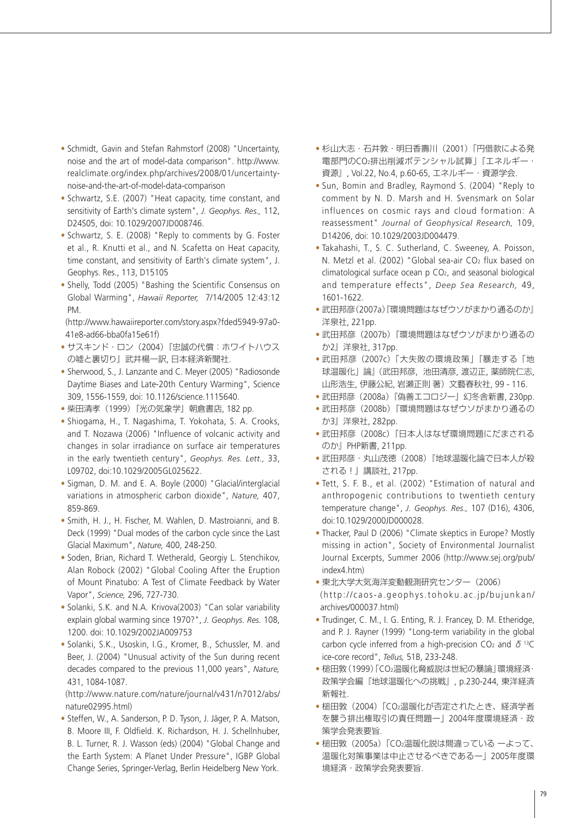- Schmidt, Gavin and Stefan Rahmstorf (2008) "Uncertainty, noise and the art of model-data comparison". http://www. realclimate.org/index.php/archives/2008/01/uncertaintynoise-and-the-art-of-model-data-comparison
- Schwartz, S.E. (2007) "Heat capacity, time constant, and sensitivity of Earth's climate system", *J. Geophys. Res.,* 112, D24S05, doi: 10.1029/2007JD008746.
- Schwartz, S. E. (2008) "Reply to comments by G. Foster et al., R. Knutti et al., and N. Scafetta on Heat capacity, time constant, and sensitivity of Earth's climate system", J. Geophys. Res., 113, D15105
- Shelly, Todd (2005) "Bashing the Scientific Consensus on Global Warming", *Hawaii Reporter,* 7/14/2005 12:43:12 PM.

 (http://www.hawaiireporter.com/story.aspx?fded5949-97a0- 41e8-ad66-bba0fa15e61f)

- サスキンド・ロン(2004)『忠誠の代償:ホワイトハウス の嘘と裏切り』武井楊一訳, 日本経済新聞社.
- Sherwood, S., J. Lanzante and C. Meyer (2005) "Radiosonde Daytime Biases and Late-20th Century Warming", Science 309, 1556-1559, doi: 10.1126/science.1115640.
- 柴田清孝(1999)『光の気象学』朝倉書店, 182 pp.
- Shiogama, H., T. Nagashima, T. Yokohata, S. A. Crooks, and T. Nozawa (2006) "Influence of volcanic activity and changes in solar irradiance on surface air temperatures in the early twentieth century", *Geophys. Res. Lett.,* 33, L09702, doi:10.1029/2005GL025622.
- Sigman, D. M. and E. A. Boyle (2000) "Glacial/interglacial variations in atmospheric carbon dioxide", *Nature,* 407, 859-869.
- Smith, H. J., H. Fischer, M. Wahlen, D. Mastroianni, and B. Deck (1999) "Dual modes of the carbon cycle since the Last Glacial Maximum", *Nature,* 400, 248-250.
- Soden, Brian, Richard T. Wetherald, Georgiy L. Stenchikov, Alan Robock (2002) "Global Cooling After the Eruption of Mount Pinatubo: A Test of Climate Feedback by Water Vapor", *Science,* 296, 727-730.
- Solanki, S.K. and N.A. Krivova(2003) "Can solar variability explain global warming since 1970?", *J. Geophys. Res.* 108, 1200. doi: 10.1029/2002JA009753
- Solanki, S.K., Usoskin, I.G., Kromer, B., Schussler, M. and Beer, J. (2004) "Unusual activity of the Sun during recent decades compared to the previous 11,000 years", *Nature,* 431, 1084-1087.

 (http://www.nature.com/nature/journal/v431/n7012/abs/ nature02995.html)

• Steffen, W., A. Sanderson, P. D. Tyson, J. Jäger, P. A. Matson, B. Moore III, F. Oldfield. K. Richardson, H. J. Schellnhuber, B. L. Turner, R. J. Wasson (eds) (2004) "Global Change and the Earth System: A Planet Under Pressure", IGBP Global Change Series, Springer-Verlag, Berlin Heidelberg New York.

- 杉山大志・石井敦・明日香壽川(2001)「円借款による発 電部門のCO2排出削減ポテンシャル試算」『エネルギー・ 資源』, Vol.22, No.4, p.60-65, エネルギー・資源学会.
- Sun, Bomin and Bradley, Raymond S. (2004) "Reply to comment by N. D. Marsh and H. Svensmark on Solar influences on cosmic rays and cloud formation: A reassessment" *Journal of Geophysical Research,* 109, D14206, doi: 10.1029/2003JD004479.
- Takahashi, T., S. C. Sutherland, C. Sweeney, A. Poisson, N. Metzl et al. (2002) "Global sea-air CO<sub>2</sub> flux based on climatological surface ocean p CO2, and seasonal biological and temperature effects", *Deep Sea Research,* 49, 1601-1622.
- •武田邦彦(2007a) 『環境問題はなぜウソがまかり通るのか』 洋泉社, 221pp.
- •武田邦彦 (2007b)『環境問題はなぜウソがまかり通るの か2』洋泉社, 317pp.
- 武田邦彦(2007c)「大失敗の環境政策」『暴走する「地 球温暖化」論』(武田邦彦, 池田清彦, 渡辺正, 薬師院仁志, 山形浩生, 伊藤公紀, 岩瀬正則 著)文藝春秋社, 99 - 116.
- 武田邦彦(2008a)『偽善エコロジー』幻冬舎新書, 230pp.
- •武田邦彦(2008b)『環境問題はなぜウソがまかり通るの か3』洋泉社, 282pp.
- 武田邦彦(2008c)『日本人はなぜ環境問題にだまされる のか』PHP新書, 211pp.
- 武田邦彦・丸山茂徳(2008)『地球温暖化論で日本人が殺 される!』講談社, 217pp.
- Tett, S. F. B., et al. (2002) "Estimation of natural and anthropogenic contributions to twentieth century temperature change", *J. Geophys. Res.,* 107 (D16), 4306, doi:10.1029/2000JD000028.
- Thacker, Paul D (2006) "Climate skeptics in Europe? Mostly missing in action", Society of Environmental Journalist Journal Excerpts, Summer 2006 (http://www.sej.org/pub/ index4.htm)
- 東北大学大気海洋変動観測研究センター(2006)
- (http://caos-a.geophys.tohoku.ac.jp/bujunkan/ archives/000037.html)
- Trudinger, C. M., I. G. Enting, R. J. Francey, D. M. Etheridge, and P. J. Rayner (1999) "Long-term variability in the global carbon cycle inferred from a high-precision CO<sub>2</sub> and  $\delta$ <sup>13</sup>C ice-core record", *Tellus,* 51B, 233-248.
- 槌田敦(1999)「CO2温暖化脅威説は世紀の暴論」環境経済・ 政策学会編『地球温暖化への挑戦』, p.230-244, 東洋経済 新報社.
- 槌田敦(2004)「CO2温暖化が否定されたとき、経済学者 を襲う排出権取引の責任問題ー」2004年度環境経済・政 策学会発表要旨.
- 槌田敦(2005a)「CO2温暖化説は間違っている ーよって、 温暖化対策事業は中止させるべきであるー」2005年度環 境経済・政策学会発表要旨.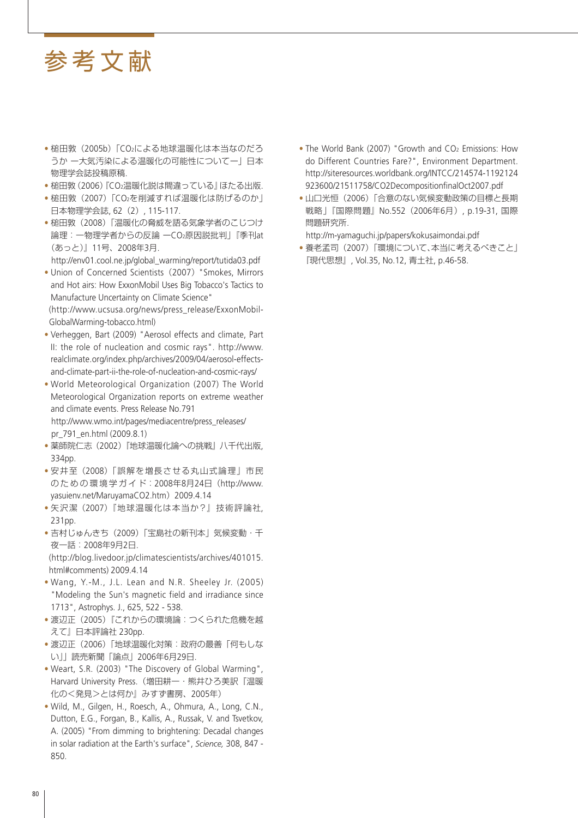- 槌田敦(2005b)「CO2による地球温暖化は本当なのだろ うか ー大気汚染による温暖化の可能性についてー」日本 物理学会誌投稿原稿.
- 槌田敦(2006)『CO2温暖化説は間違っている』ほたる出版.
- 槌田敦(2007)「CO2を削減すれば温暖化は防げるのか」 日本物理学会誌, 62(2), 115-117.
- 槌田敦(2008)「温暖化の脅威を語る気象学者のこじつけ 論理:一物理学者からの反論 ーCO2原因説批判」『季刊at (あっと)』11号、2008年3月.

http://env01.cool.ne.jp/global\_warming/report/tutida03.pdf

- Union of Concerned Scientists (2007) "Smokes, Mirrors and Hot airs: How ExxonMobil Uses Big Tobacco's Tactics to Manufacture Uncertainty on Climate Science" (http://www.ucsusa.org/news/press\_release/ExxonMobil-GlobalWarming-tobacco.html)
- Verheggen, Bart (2009) "Aerosol effects and climate, Part II: the role of nucleation and cosmic rays". http://www. realclimate.org/index.php/archives/2009/04/aerosol-effectsand-climate-part-ii-the-role-of-nucleation-and-cosmic-rays/
- World Meteorological Organization (2007) The World Meteorological Organization reports on extreme weather and climate events. Press Release No.791 http://www.wmo.int/pages/mediacentre/press\_releases/ pr\_791\_en.html (2009.8.1)
- 薬師院仁志(2002)『地球温暖化論への挑戦』八千代出版, 334pp.
- 安井至(2008)「誤解を増長させる丸山式論理」市民 の た め の 環 境 学 ガ イ ド:2008年8月24日(http://www. yasuienv.net/MaruyamaCO2.htm)2009.4.14
- 矢沢潔(2007)『地球温暖化は本当か?』技術評論社, 231pp.
- 吉村じゅんきち(2009)「宝島社の新刊本」気候変動・千 夜一話:2008年9月2日.

 (http://blog.livedoor.jp/climatescientists/archives/401015. html#comments) 2009.4.14

- Wang, Y.-M., J.L. Lean and N.R. Sheeley Jr. (2005) "Modeling the Sun's magnetic field and irradiance since 1713", Astrophys. J., 625, 522 - 538.
- 渡辺正(2005)『これからの環境論:つくられた危機を越 えて』日本評論社 230pp.
- 渡辺正(2006)「地球温暖化対策:政府の最善「何もしな い」」読売新聞「論点」2006年6月29日.
- Weart, S.R. (2003) "The Discovery of Global Warming", Harvard University Press.(増田耕一・熊井ひろ美訳『温暖 化の<発見>とは何か』みすず書房、2005年)
- Wild, M., Gilgen, H., Roesch, A., Ohmura, A., Long, C.N., Dutton, E.G., Forgan, B., Kallis, A., Russak, V. and Tsvetkov, A. (2005) "From dimming to brightening: Decadal changes in solar radiation at the Earth's surface", *Science,* 308, 847 - 850.
- The World Bank (2007) "Growth and CO<sub>2</sub> Emissions: How do Different Countries Fare?", Environment Department. http://siteresources.worldbank.org/INTCC/214574-1192124 923600/21511758/CO2DecompositionfinalOct2007.pdf
- 山口光恒(2006)「合意のない気候変動政策の目標と長期 戦略」『国際問題』No.552(2006年6月), p.19-31, 国際 問題研究所.

http://m-yamaguchi.jp/papers/kokusaimondai.pdf

• 養老孟司(2007)「環境について、本当に考えるべきこと」 『現代思想』, Vol.35, No.12, 青土社, p.46-58.